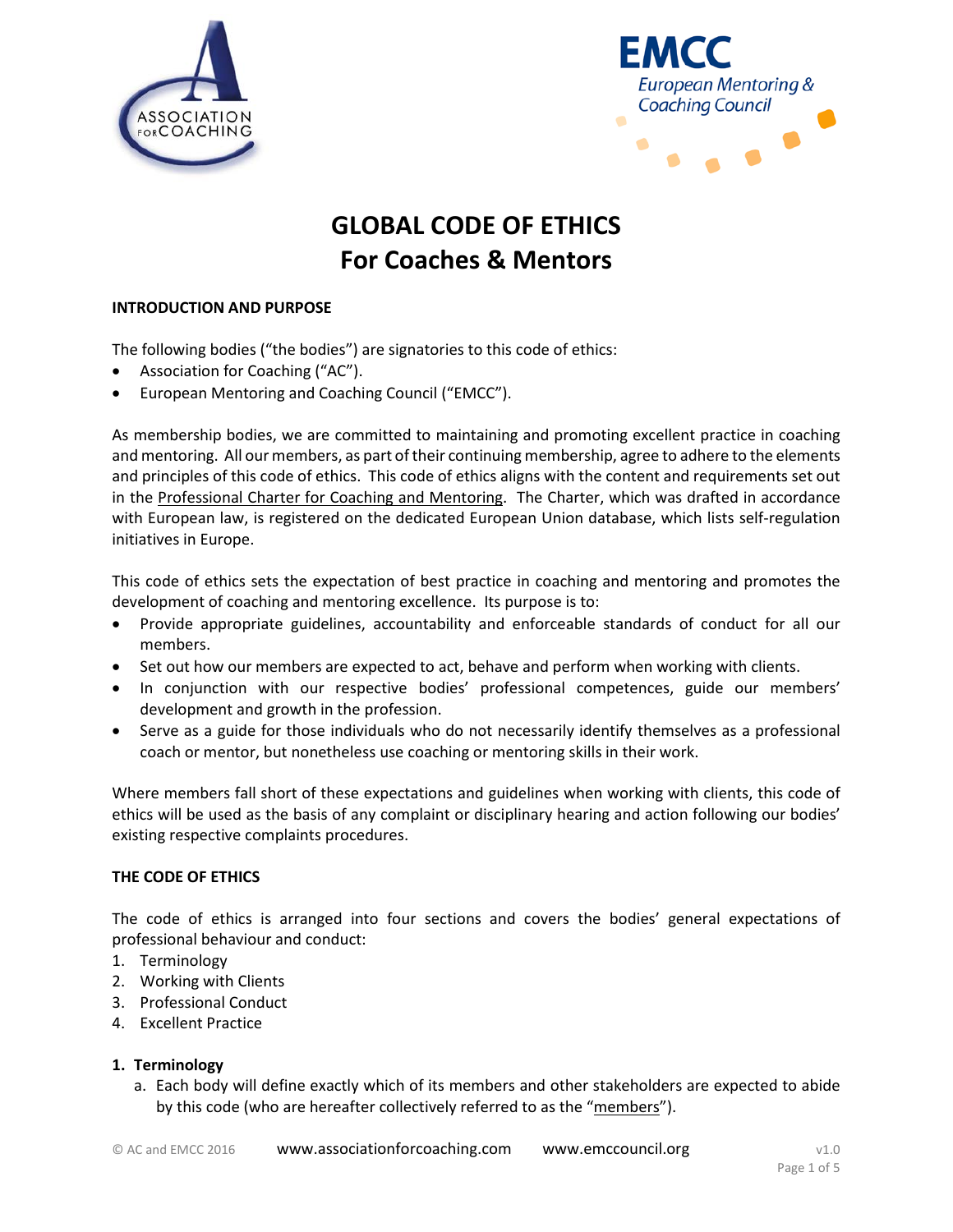



# **GLOBAL CODE OF ETHICS For Coaches & Mentors**

## **INTRODUCTION AND PURPOSE**

The following bodies ("the bodies") are signatories to this code of ethics:

- Association for Coaching ("AC").
- European Mentoring and Coaching Council ("EMCC").

As membership bodies, we are committed to maintaining and promoting excellent practice in coaching and mentoring. All our members, as part of their continuing membership, agree to adhere to the elements and principles of this code of ethics. This code of ethics aligns with the content and requirements set out in the [Professional Charter for Coaching](http://www.eesc.europa.eu/self-and-coregulation/full.asp?w=n&ID=142) and Mentoring. The Charter, which was drafted in accordance with European law, is registered on the dedicated European Union database, which lists self-regulation initiatives in Europe.

This code of ethics sets the expectation of best practice in coaching and mentoring and promotes the development of coaching and mentoring excellence. Its purpose is to:

- Provide appropriate guidelines, accountability and enforceable standards of conduct for all our members.
- Set out how our members are expected to act, behave and perform when working with clients.
- In conjunction with our respective bodies' professional competences, guide our members' development and growth in the profession.
- Serve as a guide for those individuals who do not necessarily identify themselves as a professional coach or mentor, but nonetheless use coaching or mentoring skills in their work.

Where members fall short of these expectations and guidelines when working with clients, this code of ethics will be used as the basis of any complaint or disciplinary hearing and action following our bodies' existing respective complaints procedures.

### **THE CODE OF ETHICS**

The code of ethics is arranged into four sections and covers the bodies' general expectations of professional behaviour and conduct:

- 1. Terminology
- 2. Working with Clients
- 3. Professional Conduct
- 4. Excellent Practice

### **1. Terminology**

a. Each body will define exactly which of its members and other stakeholders are expected to abide by this code (who are hereafter collectively referred to as the "members").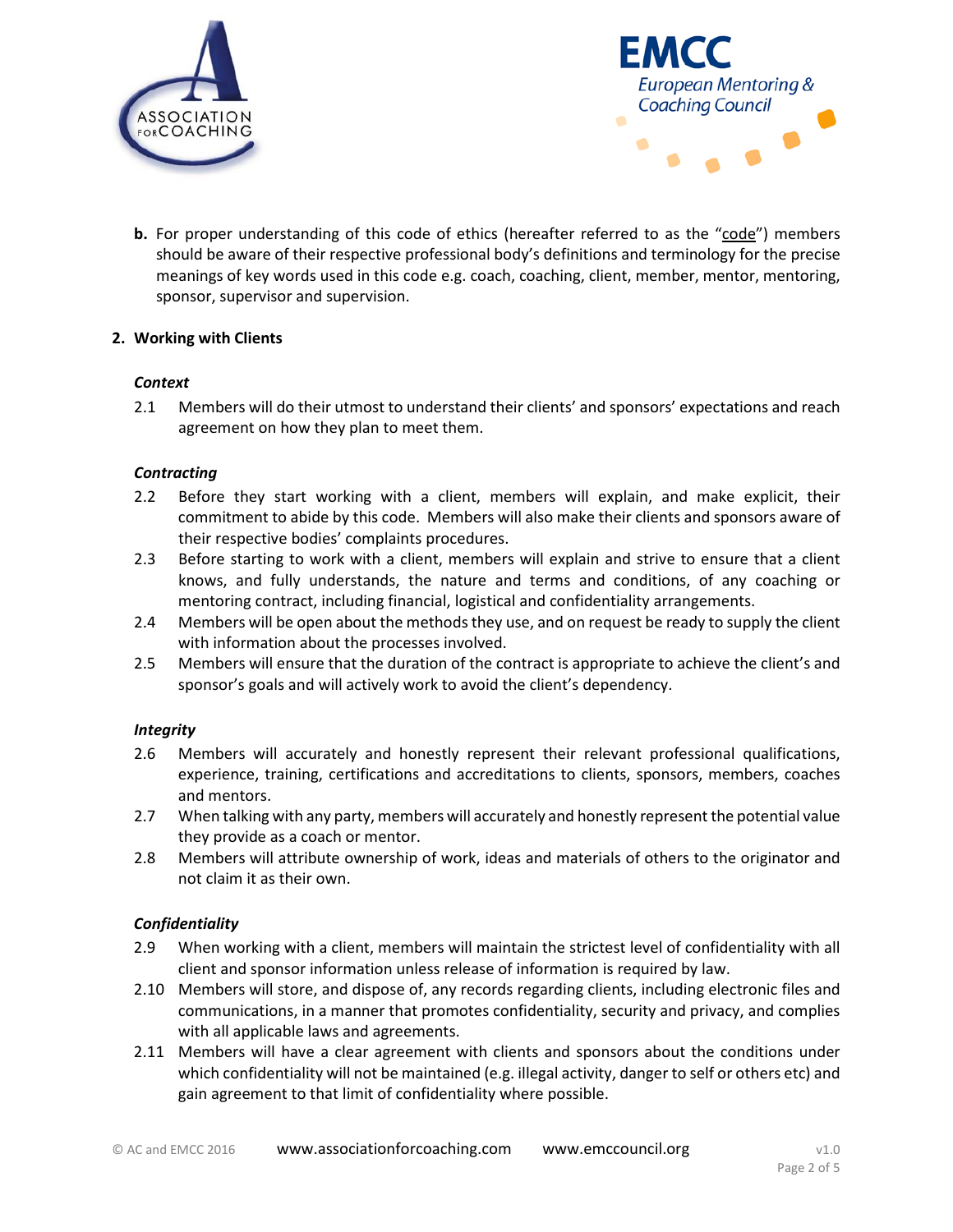



**b.** For proper understanding of this code of ethics (hereafter referred to as the "code") members should be aware of their respective professional body's definitions and terminology for the precise meanings of key words used in this code e.g. coach, coaching, client, member, mentor, mentoring, sponsor, supervisor and supervision.

## **2. Working with Clients**

### *Context*

2.1 Members will do their utmost to understand their clients' and sponsors' expectations and reach agreement on how they plan to meet them.

## *Contracting*

- 2.2 Before they start working with a client, members will explain, and make explicit, their commitment to abide by this code. Members will also make their clients and sponsors aware of their respective bodies' complaints procedures.
- 2.3 Before starting to work with a client, members will explain and strive to ensure that a client knows, and fully understands, the nature and terms and conditions, of any coaching or mentoring contract, including financial, logistical and confidentiality arrangements.
- 2.4 Members will be open about the methods they use, and on request be ready to supply the client with information about the processes involved.
- 2.5 Members will ensure that the duration of the contract is appropriate to achieve the client's and sponsor's goals and will actively work to avoid the client's dependency.

### *Integrity*

- 2.6 Members will accurately and honestly represent their relevant professional qualifications, experience, training, certifications and accreditations to clients, sponsors, members, coaches and mentors.
- 2.7 When talking with any party, members will accurately and honestly represent the potential value they provide as a coach or mentor.
- 2.8 Members will attribute ownership of work, ideas and materials of others to the originator and not claim it as their own.

### *Confidentiality*

- 2.9 When working with a client, members will maintain the strictest level of confidentiality with all client and sponsor information unless release of information is required by law.
- 2.10 Members will store, and dispose of, any records regarding clients, including electronic files and communications, in a manner that promotes confidentiality, security and privacy, and complies with all applicable laws and agreements.
- 2.11 Members will have a clear agreement with clients and sponsors about the conditions under which confidentiality will not be maintained (e.g. illegal activity, danger to self or others etc) and gain agreement to that limit of confidentiality where possible.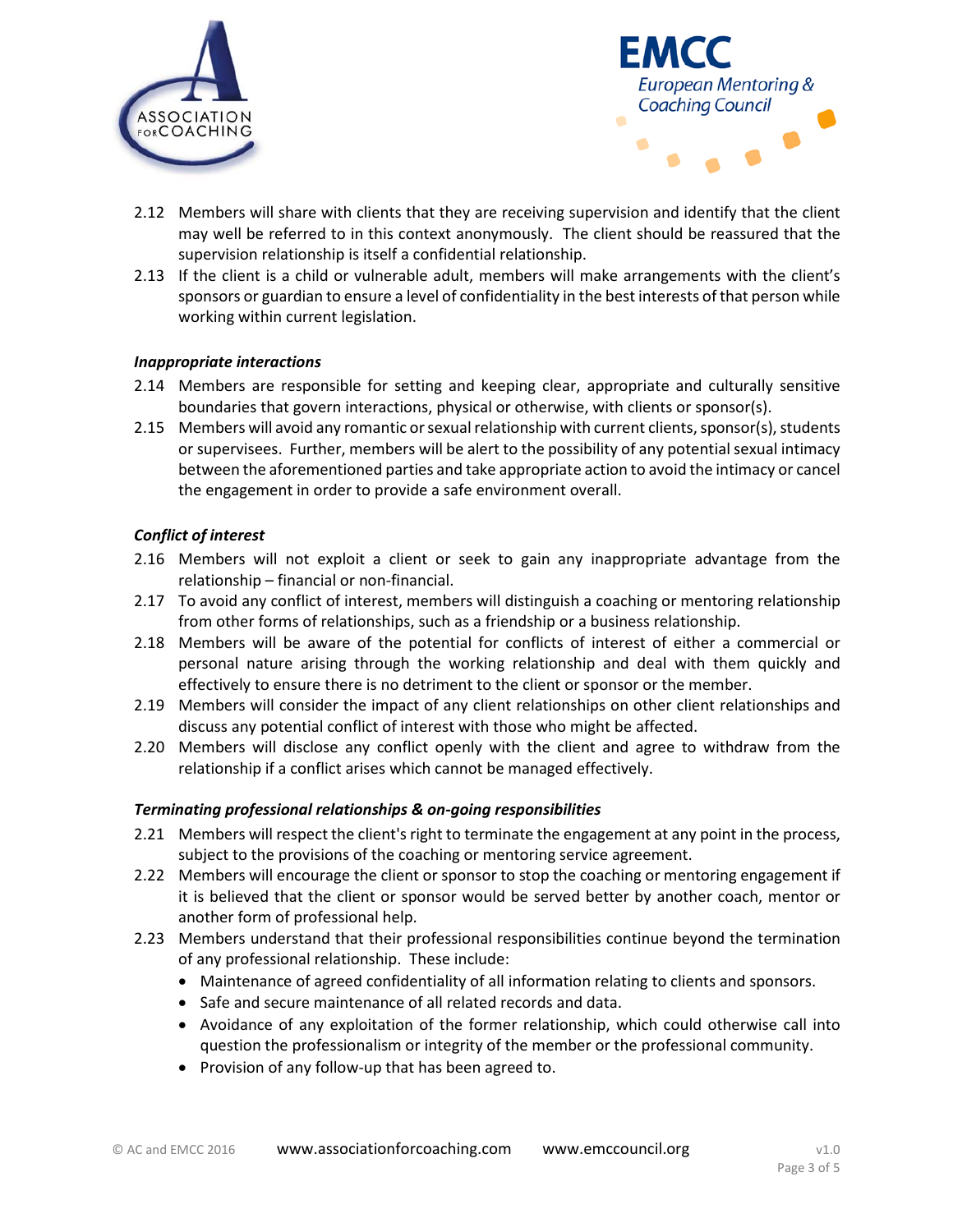



- 2.12 Members will share with clients that they are receiving supervision and identify that the client may well be referred to in this context anonymously. The client should be reassured that the supervision relationship is itself a confidential relationship.
- 2.13 If the client is a child or vulnerable adult, members will make arrangements with the client's sponsors or guardian to ensure a level of confidentiality in the best interests of that person while working within current legislation.

### *Inappropriate interactions*

- 2.14 Members are responsible for setting and keeping clear, appropriate and culturally sensitive boundaries that govern interactions, physical or otherwise, with clients or sponsor(s).
- 2.15 Members will avoid any romantic or sexual relationship with current clients, sponsor(s), students or supervisees. Further, members will be alert to the possibility of any potential sexual intimacy between the aforementioned parties and take appropriate action to avoid the intimacy or cancel the engagement in order to provide a safe environment overall.

## *Conflict of interest*

- 2.16 Members will not exploit a client or seek to gain any inappropriate advantage from the relationship – financial or non-financial.
- 2.17 To avoid any conflict of interest, members will distinguish a coaching or mentoring relationship from other forms of relationships, such as a friendship or a business relationship.
- 2.18 Members will be aware of the potential for conflicts of interest of either a commercial or personal nature arising through the working relationship and deal with them quickly and effectively to ensure there is no detriment to the client or sponsor or the member.
- 2.19 Members will consider the impact of any client relationships on other client relationships and discuss any potential conflict of interest with those who might be affected.
- 2.20 Members will disclose any conflict openly with the client and agree to withdraw from the relationship if a conflict arises which cannot be managed effectively.

### *Terminating professional relationships & on-going responsibilities*

- 2.21 Members will respect the client's right to terminate the engagement at any point in the process, subject to the provisions of the coaching or mentoring service agreement.
- 2.22 Members will encourage the client or sponsor to stop the coaching or mentoring engagement if it is believed that the client or sponsor would be served better by another coach, mentor or another form of professional help.
- 2.23 Members understand that their professional responsibilities continue beyond the termination of any professional relationship. These include:
	- Maintenance of agreed confidentiality of all information relating to clients and sponsors.
	- Safe and secure maintenance of all related records and data.
	- Avoidance of any exploitation of the former relationship, which could otherwise call into question the professionalism or integrity of the member or the professional community.
	- Provision of any follow-up that has been agreed to.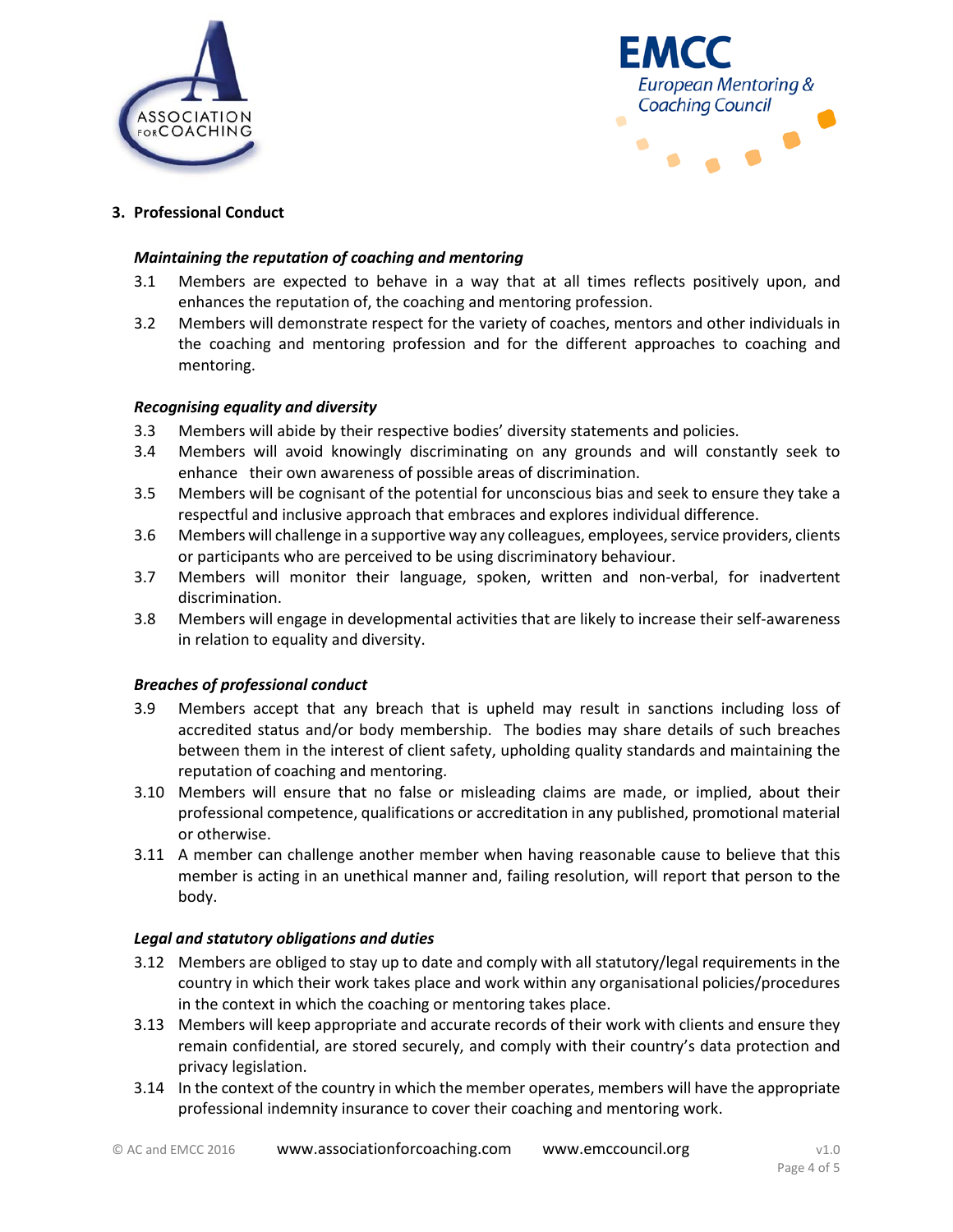



## **3. Professional Conduct**

### *Maintaining the reputation of coaching and mentoring*

- 3.1 Members are expected to behave in a way that at all times reflects positively upon, and enhances the reputation of, the coaching and mentoring profession.
- 3.2 Members will demonstrate respect for the variety of coaches, mentors and other individuals in the coaching and mentoring profession and for the different approaches to coaching and mentoring.

#### *Recognising equality and diversity*

- 3.3 Members will abide by their respective bodies' diversity statements and policies.
- 3.4 Members will avoid knowingly discriminating on any grounds and will constantly seek to enhance their own awareness of possible areas of discrimination.
- 3.5 Members will be cognisant of the potential for unconscious bias and seek to ensure they take a respectful and inclusive approach that embraces and explores individual difference.
- 3.6 Members will challenge in a supportive way any colleagues, employees, service providers, clients or participants who are perceived to be using discriminatory behaviour.
- 3.7 Members will monitor their language, spoken, written and non-verbal, for inadvertent discrimination.
- 3.8 Members will engage in developmental activities that are likely to increase their self-awareness in relation to equality and diversity.

### *Breaches of professional conduct*

- 3.9 Members accept that any breach that is upheld may result in sanctions including loss of accredited status and/or body membership. The bodies may share details of such breaches between them in the interest of client safety, upholding quality standards and maintaining the reputation of coaching and mentoring.
- 3.10 Members will ensure that no false or misleading claims are made, or implied, about their professional competence, qualifications or accreditation in any published, promotional material or otherwise.
- 3.11 A member can challenge another member when having reasonable cause to believe that this member is acting in an unethical manner and, failing resolution, will report that person to the body.

### *Legal and statutory obligations and duties*

- 3.12 Members are obliged to stay up to date and comply with all statutory/legal requirements in the country in which their work takes place and work within any organisational policies/procedures in the context in which the coaching or mentoring takes place.
- 3.13 Members will keep appropriate and accurate records of their work with clients and ensure they remain confidential, are stored securely, and comply with their country's data protection and privacy legislation.
- 3.14 In the context of the country in which the member operates, members will have the appropriate professional indemnity insurance to cover their coaching and mentoring work.